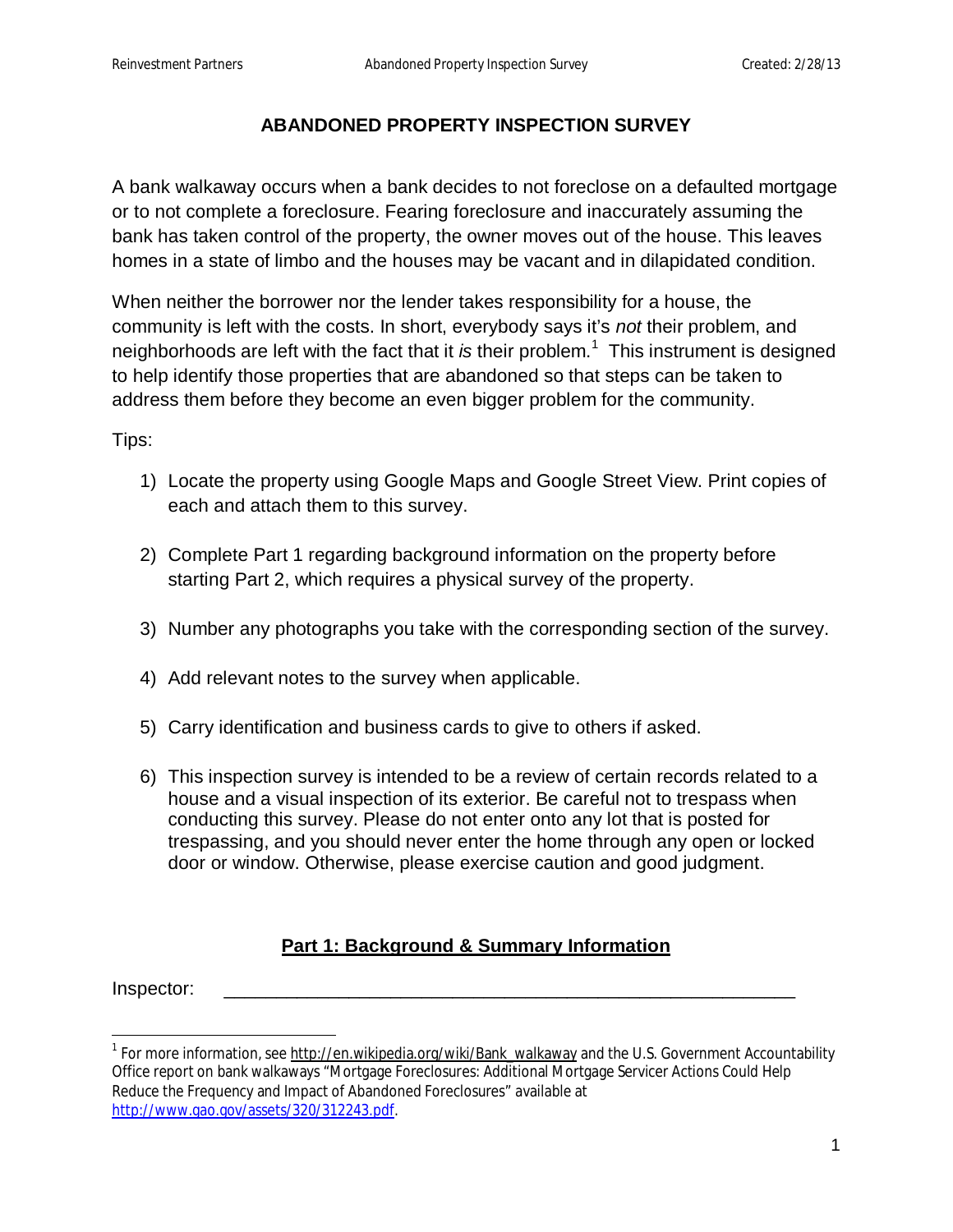## **ABANDONED PROPERTY INSPECTION SURVEY**

A bank walkaway occurs when a bank decides to not foreclose on a defaulted mortgage or to not complete a foreclosure. Fearing foreclosure and inaccurately assuming the bank has taken control of the property, the owner moves out of the house. This leaves homes in a state of limbo and the houses may be vacant and in dilapidated condition.

When neither the borrower nor the lender takes responsibility for a house, the community is left with the costs. In short, everybody says it's *not* their problem, and neighborhoods are left with the fact that it *is* their problem.<sup>1</sup> This instrument is designed to help identify those properties that are abandoned so that steps can be taken to address them before they become an even bigger problem for the community.

Tips:

- 1) Locate the property using Google Maps and Google Street View. Print copies of each and attach them to this survey.
- 2) Complete Part 1 regarding background information on the property before starting Part 2, which requires a physical survey of the property.
- 3) Number any photographs you take with the corresponding section of the survey.
- 4) Add relevant notes to the survey when applicable.
- 5) Carry identification and business cards to give to others if asked.
- 6) This inspection survey is intended to be a review of certain records related to a house and a visual inspection of its exterior. Be careful not to trespass when conducting this survey. Please do not enter onto any lot that is posted for trespassing, and you should never enter the home through any open or locked door or window. Otherwise, please exercise caution and good judgment.

## **Part 1: Background & Summary Information**

Inspector:

 $\overline{a}$ 

<sup>&</sup>lt;sup>1</sup> For more information, see <u>http://en.wikipedia.org/wiki/Bank\_walkaway</u> and the U.S. Government Accountability Office report on bank walkaways "Mortgage Foreclosures: Additional Mortgage Servicer Actions Could Help Reduce the Frequency and Impact of Abandoned Foreclosures" available at http://www.gao.gov/assets/320/312243.pdf.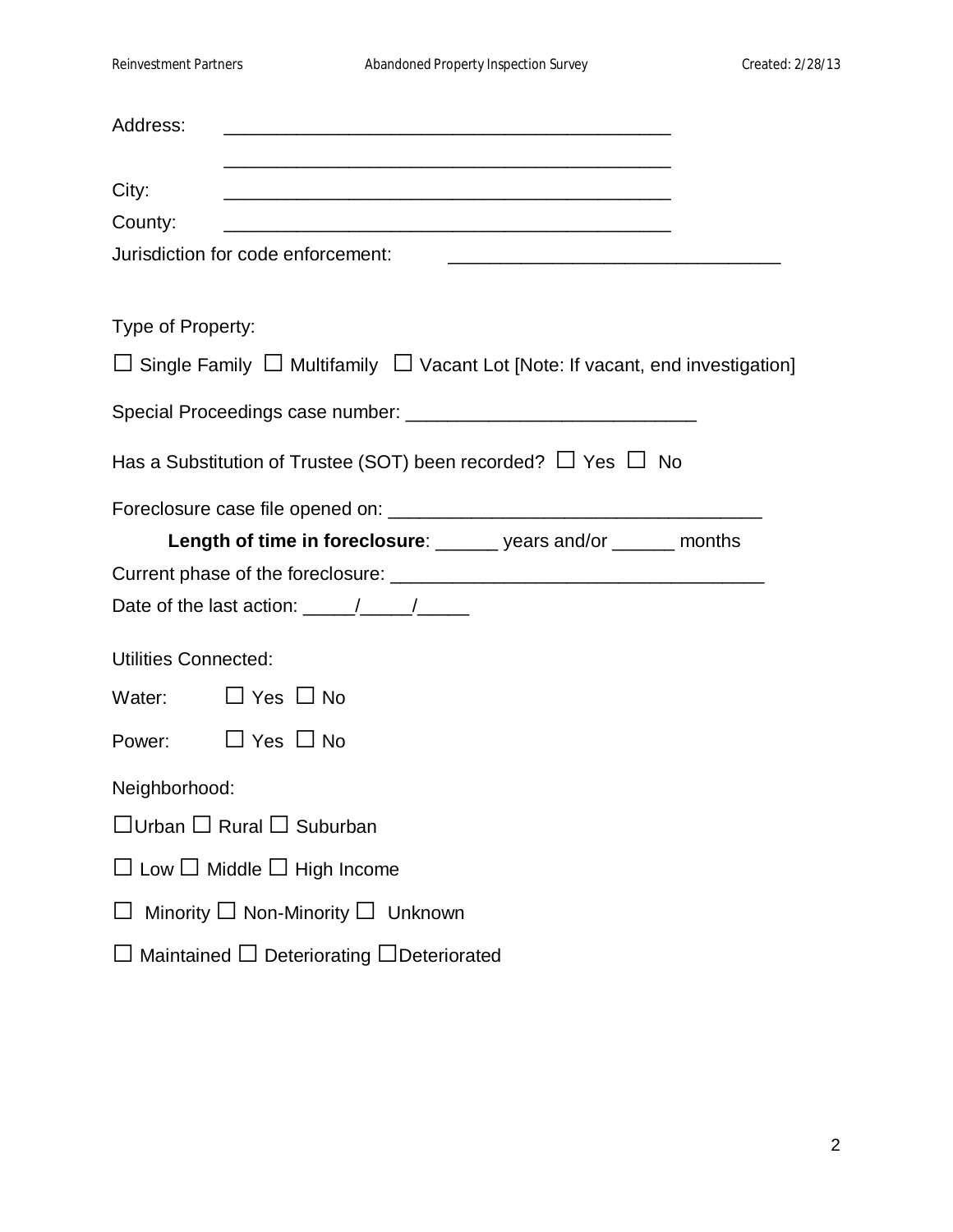| Address:                                                                                              |
|-------------------------------------------------------------------------------------------------------|
| City:                                                                                                 |
| County:                                                                                               |
| Jurisdiction for code enforcement:                                                                    |
|                                                                                                       |
| Type of Property:                                                                                     |
| $\Box$ Single Family $\Box$ Multifamily $\Box$ Vacant Lot [Note: If vacant, end investigation]        |
|                                                                                                       |
| Has a Substitution of Trustee (SOT) been recorded? $\Box$ Yes $\Box$ No                               |
|                                                                                                       |
| <b>Length of time in foreclosure:</b> _______ years and/or ______ months                              |
|                                                                                                       |
| Date of the last action: $\frac{1}{\sqrt{1-\frac{1}{2}}}\left  \frac{1}{\sqrt{1-\frac{1}{2}}}\right $ |
| <b>Utilities Connected:</b>                                                                           |
| Water: $\Box$ Yes $\Box$ No                                                                           |
| $\Box$ Yes $\Box$ No<br>Power:                                                                        |
| Neighborhood:                                                                                         |
| $\Box$ Urban $\Box$ Rural $\Box$ Suburban                                                             |
| $\Box$ Low $\Box$ Middle $\Box$ High Income                                                           |
| Minority $\Box$ Non-Minority $\Box$ Unknown                                                           |
| Maintained $\Box$ Deteriorating $\Box$ Deteriorated                                                   |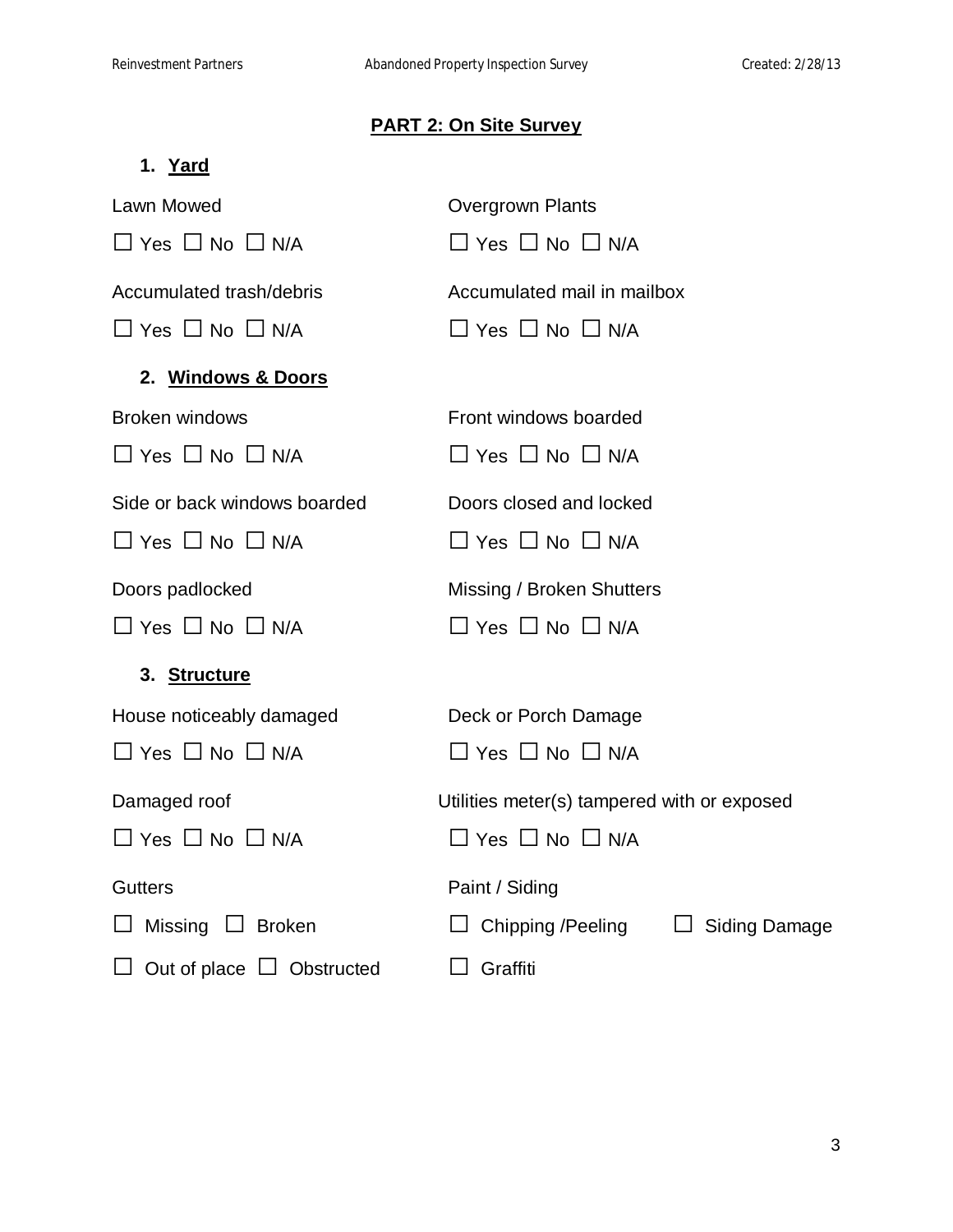## **PART 2: On Site Survey**

| 1. <u>Yard</u>                  |                                                  |
|---------------------------------|--------------------------------------------------|
| Lawn Mowed                      | <b>Overgrown Plants</b>                          |
| $\Box$ Yes $\Box$ No $\Box$ N/A | $\Box$ Yes $\Box$ No $\Box$ N/A                  |
| Accumulated trash/debris        | Accumulated mail in mailbox                      |
| $\Box$ Yes $\Box$ No $\Box$ N/A | $\Box$ Yes $\Box$ No $\Box$ N/A                  |
| 2. Windows & Doors              |                                                  |
| <b>Broken windows</b>           | Front windows boarded                            |
| $\Box$ Yes $\Box$ No $\Box$ N/A | $\Box$ Yes $\Box$ No $\Box$ N/A                  |
| Side or back windows boarded    | Doors closed and locked                          |
| $\Box$ Yes $\Box$ No $\Box$ N/A | $\Box$ Yes $\Box$ No $\Box$ N/A                  |
| Doors padlocked                 | Missing / Broken Shutters                        |
| $\Box$ Yes $\Box$ No $\Box$ N/A | $\Box$ Yes $\Box$ No $\Box$ N/A                  |
| 3. Structure                    |                                                  |
| House noticeably damaged        | Deck or Porch Damage                             |
| $\Box$ Yes $\Box$ No $\Box$ N/A | $\Box$ Yes $\Box$ No $\Box$ N/A                  |
| Damaged roof                    | Utilities meter(s) tampered with or exposed      |
| $\Box$ Yes $\Box$ No $\Box$ N/A | $\Box$ Yes $\Box$ No $\Box$ N/A                  |
| <b>Gutters</b>                  | Paint / Siding                                   |
| Missing<br><b>Broken</b>        | <b>Chipping /Peeling</b><br><b>Siding Damage</b> |
| Out of place $\Box$ Obstructed  | Graffiti                                         |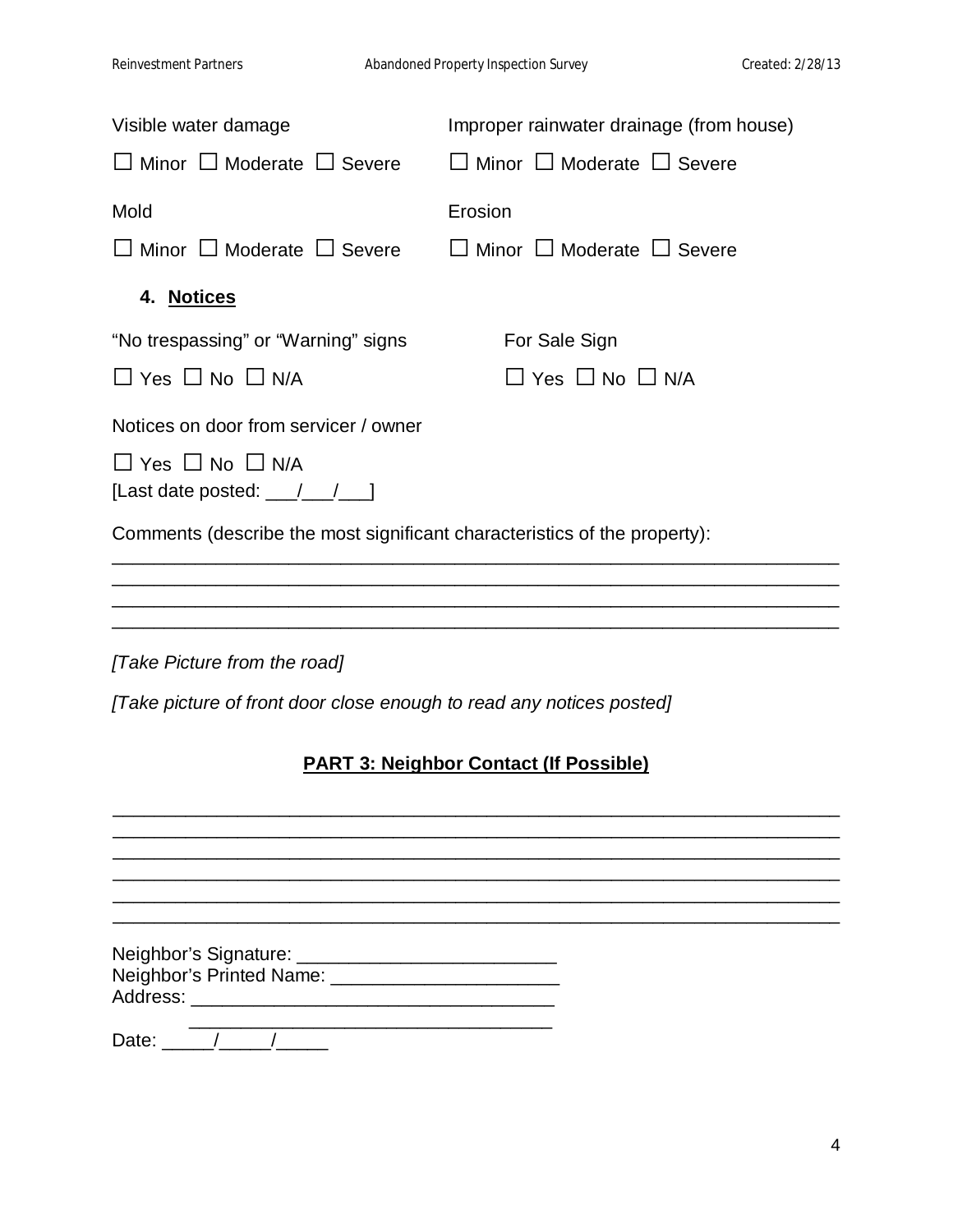| Visible water damage                                                                     | Improper rainwater drainage (from house)   |  |
|------------------------------------------------------------------------------------------|--------------------------------------------|--|
| $\Box$ Minor $\Box$ Moderate $\Box$ Severe                                               | $\Box$ Minor $\Box$ Moderate $\Box$ Severe |  |
| Mold                                                                                     | Erosion                                    |  |
| $\Box$ Minor $\Box$ Moderate $\Box$ Severe                                               | $\Box$ Minor $\Box$ Moderate $\Box$ Severe |  |
| 4. Notices                                                                               |                                            |  |
| "No trespassing" or "Warning" signs                                                      | For Sale Sign                              |  |
| $\Box$ Yes $\Box$ No $\Box$ N/A                                                          | $\Box$ Yes $\Box$ No $\Box$ N/A            |  |
| Notices on door from servicer / owner                                                    |                                            |  |
| $\Box$ Yes $\Box$ No $\Box$ N/A<br>[Last date posted: $\frac{1}{\sqrt{1-\frac{1}{2}}}$ ] |                                            |  |
| Comments (describe the most significant characteristics of the property):                |                                            |  |
|                                                                                          |                                            |  |
|                                                                                          |                                            |  |
| [Take Picture from the road]                                                             |                                            |  |
| [Take picture of front door close enough to read any notices posted]                     |                                            |  |
| <b>PART 3: Neighbor Contact (If Possible)</b>                                            |                                            |  |
|                                                                                          |                                            |  |

\_\_\_\_\_\_\_\_\_\_\_\_\_\_\_\_\_\_\_\_\_\_\_\_\_\_\_\_\_\_\_\_\_\_\_\_\_\_\_\_\_\_\_\_\_\_\_\_\_\_\_\_\_\_\_\_\_\_\_\_\_\_\_\_\_\_\_\_\_\_

\_\_\_\_\_\_\_\_\_\_\_\_\_\_\_\_\_\_\_\_\_\_\_\_\_\_\_\_\_\_\_\_\_\_\_\_\_\_\_\_\_\_\_\_\_\_\_\_\_\_\_\_\_\_\_\_\_\_\_\_\_\_\_\_\_\_\_\_\_\_

| Neighbor's Signature:    |  |
|--------------------------|--|
| Neighbor's Printed Name: |  |
| Address:                 |  |

 $\overline{\phantom{a}}$  , and the contract of the contract of the contract of the contract of the contract of the contract of the contract of the contract of the contract of the contract of the contract of the contract of the contrac Date: \_\_\_\_\_/\_\_\_\_\_/\_\_\_\_\_